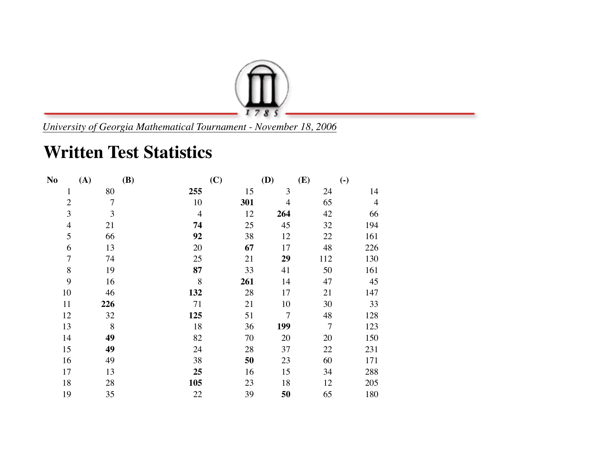

*University of Georgia Mathematical Tournament - November 18, 2006*

## **Written Test Statistics**

| N <sub>o</sub> | (A)            | <b>(B)</b>     | (C) | (D)            | (E)            | $\left( \text{-} \right)$ |
|----------------|----------------|----------------|-----|----------------|----------------|---------------------------|
| $\mathbf{1}$   | 80             | 255            | 15  | 3              | 24             | 14                        |
| $\overline{2}$ | $\overline{7}$ | 10             | 301 | $\overline{4}$ | 65             | $\overline{4}$            |
| 3              | 3              | $\overline{4}$ | 12  | 264            | 42             | 66                        |
| $\overline{4}$ | 21             | 74             | 25  | 45             | 32             | 194                       |
| 5              | 66             | 92             | 38  | 12             | 22             | 161                       |
| 6              | 13             | 20             | 67  | 17             | 48             | 226                       |
| $\overline{7}$ | 74             | 25             | 21  | 29             | 112            | 130                       |
| $\, 8$         | 19             | 87             | 33  | 41             | 50             | 161                       |
| 9              | 16             | 8              | 261 | 14             | 47             | 45                        |
| 10             | 46             | 132            | 28  | 17             | 21             | 147                       |
| 11             | 226            | 71             | 21  | 10             | 30             | 33                        |
| 12             | 32             | 125            | 51  | $\overline{7}$ | 48             | 128                       |
| 13             | 8              | 18             | 36  | 199            | $\overline{7}$ | 123                       |
| 14             | 49             | 82             | 70  | 20             | 20             | 150                       |
| 15             | 49             | 24             | 28  | 37             | 22             | 231                       |
| 16             | 49             | 38             | 50  | 23             | 60             | 171                       |
| 17             | 13             | 25             | 16  | 15             | 34             | 288                       |
| 18             | 28             | 105            | 23  | 18             | 12             | 205                       |
| 19             | 35             | 22             | 39  | 50             | 65             | 180                       |